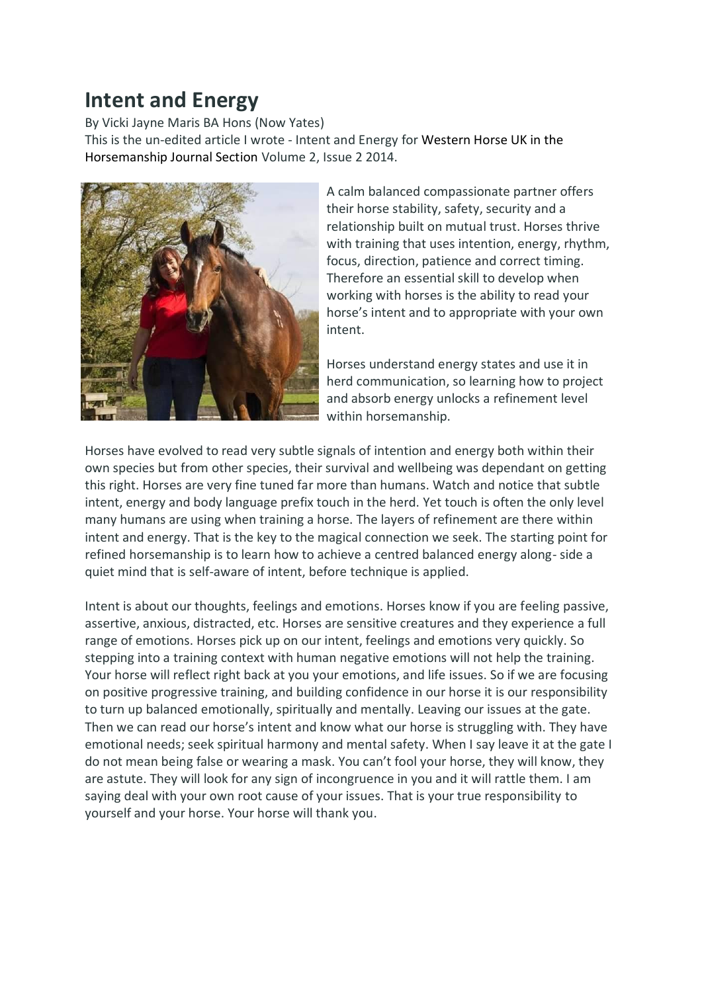## **Intent and Energy**

By Vicki Jayne Maris BA Hons (Now Yates)

This is the un-edited article I wrote - Intent and Energy for Western Horse UK in the Horsemanship Journal Section Volume 2, Issue 2 2014.



A calm balanced compassionate partner offers their horse stability, safety, security and a relationship built on mutual trust. Horses thrive with training that uses intention, energy, rhythm, focus, direction, patience and correct timing. Therefore an essential skill to develop when working with horses is the ability to read your horse's intent and to appropriate with your own intent.

Horses understand energy states and use it in herd communication, so learning how to project and absorb energy unlocks a refinement level within horsemanship.

Horses have evolved to read very subtle signals of intention and energy both within their own species but from other species, their survival and wellbeing was dependant on getting this right. Horses are very fine tuned far more than humans. Watch and notice that subtle intent, energy and body language prefix touch in the herd. Yet touch is often the only level many humans are using when training a horse. The layers of refinement are there within intent and energy. That is the key to the magical connection we seek. The starting point for refined horsemanship is to learn how to achieve a centred balanced energy along- side a quiet mind that is self-aware of intent, before technique is applied.

Intent is about our thoughts, feelings and emotions. Horses know if you are feeling passive, assertive, anxious, distracted, etc. Horses are sensitive creatures and they experience a full range of emotions. Horses pick up on our intent, feelings and emotions very quickly. So stepping into a training context with human negative emotions will not help the training. Your horse will reflect right back at you your emotions, and life issues. So if we are focusing on positive progressive training, and building confidence in our horse it is our responsibility to turn up balanced emotionally, spiritually and mentally. Leaving our issues at the gate. Then we can read our horse's intent and know what our horse is struggling with. They have emotional needs; seek spiritual harmony and mental safety. When I say leave it at the gate I do not mean being false or wearing a mask. You can't fool your horse, they will know, they are astute. They will look for any sign of incongruence in you and it will rattle them. I am saying deal with your own root cause of your issues. That is your true responsibility to yourself and your horse. Your horse will thank you.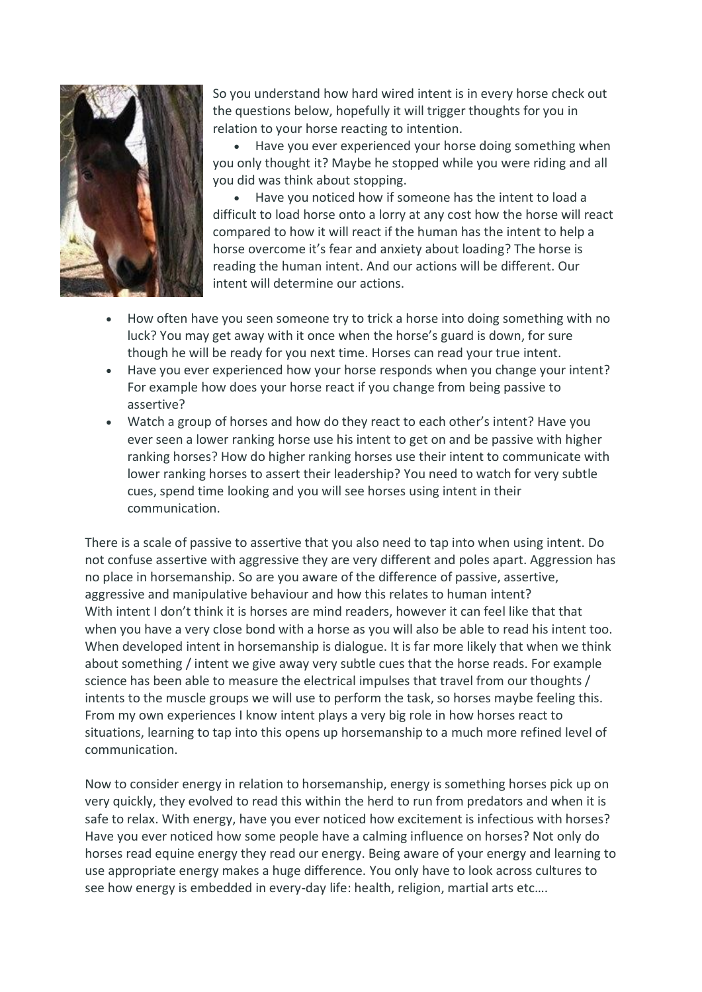

So you understand how hard wired intent is in every horse check out the questions below, hopefully it will trigger thoughts for you in relation to your horse reacting to intention.

 Have you ever experienced your horse doing something when you only thought it? Maybe he stopped while you were riding and all you did was think about stopping.

 Have you noticed how if someone has the intent to load a difficult to load horse onto a lorry at any cost how the horse will react compared to how it will react if the human has the intent to help a horse overcome it's fear and anxiety about loading? The horse is reading the human intent. And our actions will be different. Our intent will determine our actions.

- How often have you seen someone try to trick a horse into doing something with no luck? You may get away with it once when the horse's guard is down, for sure though he will be ready for you next time. Horses can read your true intent.
- Have you ever experienced how your horse responds when you change your intent? For example how does your horse react if you change from being passive to assertive?
- Watch a group of horses and how do they react to each other's intent? Have you ever seen a lower ranking horse use his intent to get on and be passive with higher ranking horses? How do higher ranking horses use their intent to communicate with lower ranking horses to assert their leadership? You need to watch for very subtle cues, spend time looking and you will see horses using intent in their communication.

There is a scale of passive to assertive that you also need to tap into when using intent. Do not confuse assertive with aggressive they are very different and poles apart. Aggression has no place in horsemanship. So are you aware of the difference of passive, assertive, aggressive and manipulative behaviour and how this relates to human intent? With intent I don't think it is horses are mind readers, however it can feel like that that when you have a very close bond with a horse as you will also be able to read his intent too. When developed intent in horsemanship is dialogue. It is far more likely that when we think about something / intent we give away very subtle cues that the horse reads. For example science has been able to measure the electrical impulses that travel from our thoughts / intents to the muscle groups we will use to perform the task, so horses maybe feeling this. From my own experiences I know intent plays a very big role in how horses react to situations, learning to tap into this opens up horsemanship to a much more refined level of communication.

Now to consider energy in relation to horsemanship, energy is something horses pick up on very quickly, they evolved to read this within the herd to run from predators and when it is safe to relax. With energy, have you ever noticed how excitement is infectious with horses? Have you ever noticed how some people have a calming influence on horses? Not only do horses read equine energy they read our energy. Being aware of your energy and learning to use appropriate energy makes a huge difference. You only have to look across cultures to see how energy is embedded in every-day life: health, religion, martial arts etc….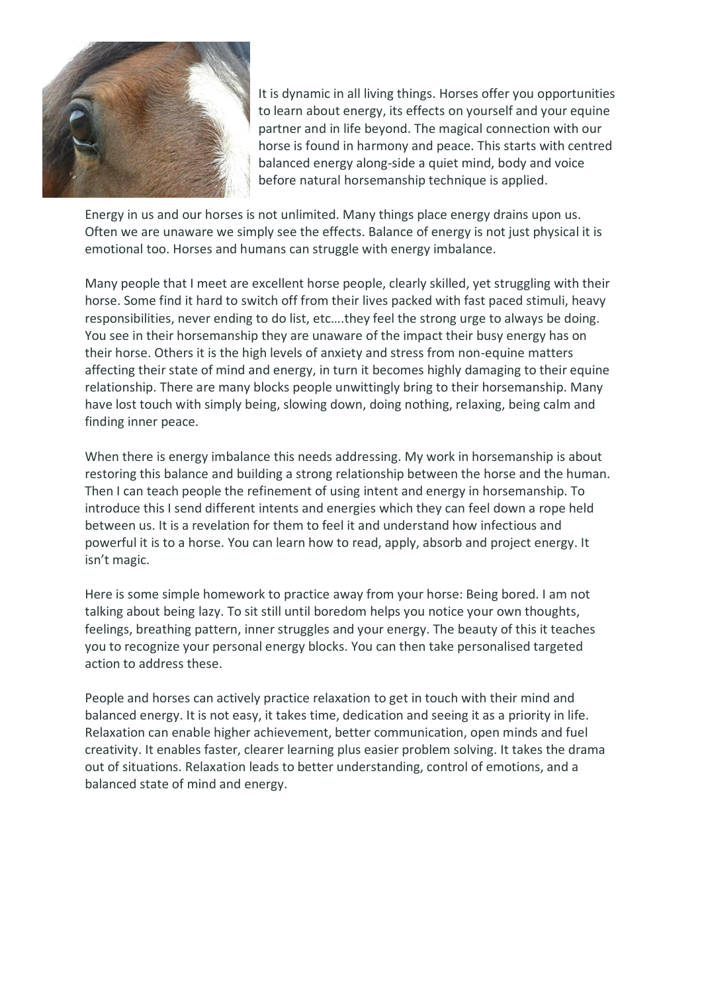

It is dynamic in all living things. Horses offer you opportunities to learn about energy, its effects on yourself and your equine partner and in life beyond. The magical connection with our horse is found in harmony and peace. This starts with centred balanced energy along-side a quiet mind, body and voice before natural horsemanship technique is applied.

Energy in us and our horses is not unlimited. Many things place energy drains upon us. Often we are unaware we simply see the effects. Balance of energy is not just physical it is emotional too. Horses and humans can struggle with energy imbalance.

Many people that I meet are excellent horse people, clearly skilled, yet struggling with their horse. Some find it hard to switch off from their lives packed with fast paced stimuli, heavy responsibilities, never ending to do list, etc….they feel the strong urge to always be doing. You see in their horsemanship they are unaware of the impact their busy energy has on their horse. Others it is the high levels of anxiety and stress from non-equine matters affecting their state of mind and energy, in turn it becomes highly damaging to their equine relationship. There are many blocks people unwittingly bring to their horsemanship. Many have lost touch with simply being, slowing down, doing nothing, relaxing, being calm and finding inner peace.

When there is energy imbalance this needs addressing. My work in horsemanship is about restoring this balance and building a strong relationship between the horse and the human. Then I can teach people the refinement of using intent and energy in horsemanship. To introduce this I send different intents and energies which they can feel down a rope held between us. It is a revelation for them to feel it and understand how infectious and powerful it is to a horse. You can learn how to read, apply, absorb and project energy. It isn't magic.

Here is some simple homework to practice away from your horse: Being bored. I am not talking about being lazy. To sit still until boredom helps you notice your own thoughts, feelings, breathing pattern, inner struggles and your energy. The beauty of this it teaches you to recognize your personal energy blocks. You can then take personalised targeted action to address these.

People and horses can actively practice relaxation to get in touch with their mind and balanced energy. It is not easy, it takes time, dedication and seeing it as a priority in life. Relaxation can enable higher achievement, better communication, open minds and fuel creativity. It enables faster, clearer learning plus easier problem solving. It takes the drama out of situations. Relaxation leads to better understanding, control of emotions, and a balanced state of mind and energy.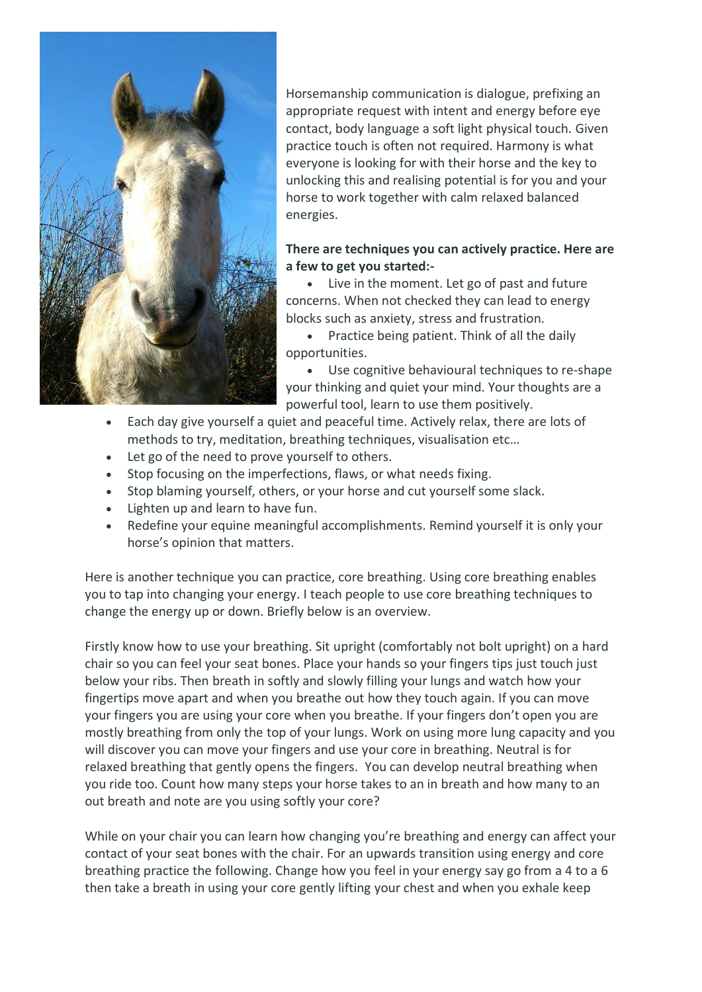

Horsemanship communication is dialogue, prefixing an appropriate request with intent and energy before eye contact, body language a soft light physical touch. Given practice touch is often not required. Harmony is what everyone is looking for with their horse and the key to unlocking this and realising potential is for you and your horse to work together with calm relaxed balanced energies.

## **There are techniques you can actively practice. Here are a few to get you started:-**

 Live in the moment. Let go of past and future concerns. When not checked they can lead to energy blocks such as anxiety, stress and frustration.

• Practice being patient. Think of all the daily opportunities.

 Use cognitive behavioural techniques to re-shape your thinking and quiet your mind. Your thoughts are a powerful tool, learn to use them positively.

- Each day give yourself a quiet and peaceful time. Actively relax, there are lots of methods to try, meditation, breathing techniques, visualisation etc…
- Let go of the need to prove yourself to others.
- Stop focusing on the imperfections, flaws, or what needs fixing.
- Stop blaming yourself, others, or your horse and cut yourself some slack.
- Lighten up and learn to have fun.
- Redefine your equine meaningful accomplishments. Remind yourself it is only your horse's opinion that matters.

Here is another technique you can practice, core breathing. Using core breathing enables you to tap into changing your energy. I teach people to use core breathing techniques to change the energy up or down. Briefly below is an overview.

Firstly know how to use your breathing. Sit upright (comfortably not bolt upright) on a hard chair so you can feel your seat bones. Place your hands so your fingers tips just touch just below your ribs. Then breath in softly and slowly filling your lungs and watch how your fingertips move apart and when you breathe out how they touch again. If you can move your fingers you are using your core when you breathe. If your fingers don't open you are mostly breathing from only the top of your lungs. Work on using more lung capacity and you will discover you can move your fingers and use your core in breathing. Neutral is for relaxed breathing that gently opens the fingers. You can develop neutral breathing when you ride too. Count how many steps your horse takes to an in breath and how many to an out breath and note are you using softly your core?

While on your chair you can learn how changing you're breathing and energy can affect your contact of your seat bones with the chair. For an upwards transition using energy and core breathing practice the following. Change how you feel in your energy say go from a 4 to a 6 then take a breath in using your core gently lifting your chest and when you exhale keep